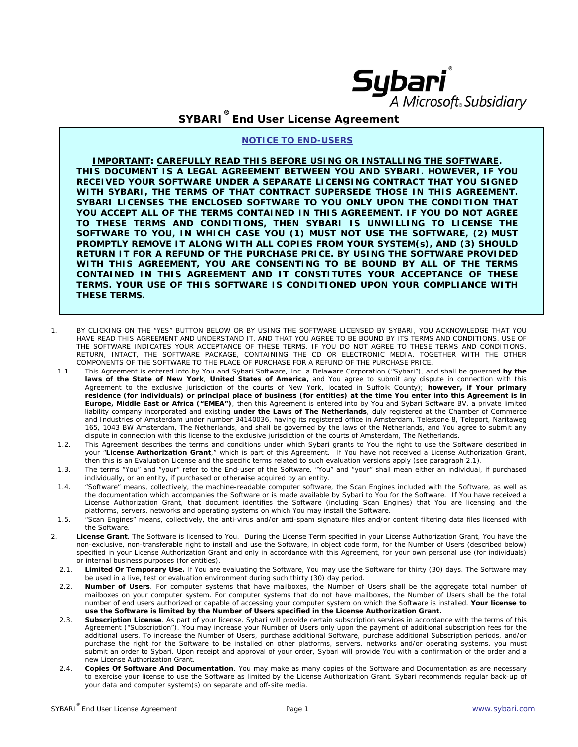

## **SYBARI ® End User License Agreement**

## **NOTICE TO END-USERS**

**IMPORTANT: CAREFULLY READ THIS BEFORE USING OR INSTALLING THE SOFTWARE. THIS DOCUMENT IS A LEGAL AGREEMENT BETWEEN YOU AND SYBARI. HOWEVER, IF YOU RECEIVED YOUR SOFTWARE UNDER A SEPARATE LICENSING CONTRACT THAT YOU SIGNED WITH SYBARI, THE TERMS OF THAT CONTRACT SUPERSEDE THOSE IN THIS AGREEMENT. SYBARI LICENSES THE ENCLOSED SOFTWARE TO YOU ONLY UPON THE CONDITION THAT YOU ACCEPT ALL OF THE TERMS CONTAINED IN THIS AGREEMENT. IF YOU DO NOT AGREE TO THESE TERMS AND CONDITIONS, THEN SYBARI IS UNWILLING TO LICENSE THE SOFTWARE TO YOU, IN WHICH CASE YOU (1) MUST NOT USE THE SOFTWARE, (2) MUST PROMPTLY REMOVE IT ALONG WITH ALL COPIES FROM YOUR SYSTEM(s), AND (3) SHOULD RETURN IT FOR A REFUND OF THE PURCHASE PRICE. BY USING THE SOFTWARE PROVIDED WITH THIS AGREEMENT, YOU ARE CONSENTING TO BE BOUND BY ALL OF THE TERMS CONTAINED IN THIS AGREEMENT AND IT CONSTITUTES YOUR ACCEPTANCE OF THESE TERMS. YOUR USE OF THIS SOFTWARE IS CONDITIONED UPON YOUR COMPLIANCE WITH THESE TERMS.**

- 1. BY CLICKING ON THE "YES" BUTTON BELOW OR BY USING THE SOFTWARE LICENSED BY SYBARI, YOU ACKNOWLEDGE THAT YOU HAVE READ THIS AGREEMENT AND UNDERSTAND IT, AND THAT YOU AGREE TO BE BOUND BY ITS TERMS AND CONDITIONS. USE OF THE SOFTWARE INDICATES YOUR ACCEPTANCE OF THESE TERMS. IF YOU DO NOT AGREE TO THESE TERMS AND CONDITIONS, RETURN, INTACT, THE SOFTWARE PACKAGE, CONTAINING THE CD OR ELECTRONIC MEDIA, TOGETHER WITH THE OTHER COMPONENTS OF THE SOFTWARE TO THE PLACE OF PURCHASE FOR A REFUND OF THE PURCHASE PRICE.
	- 1.1. This Agreement is entered into by You and Sybari Software, Inc. a Delaware Corporation ("Sybari"), and shall be governed **by the laws of the State of New York**, **United States of America,** and You agree to submit any dispute in connection with this Agreement to the exclusive jurisdiction of the courts of New York, located in Suffolk County); **however, if Your primary residence (for individuals) or principal place of business (for entities) at the time You enter into this Agreement is in Europe, Middle East or Africa ("EMEA")**, then this Agreement is entered into by You and Sybari Software BV, a private limited liability company incorporated and existing **under the Laws of The Netherlands**, duly registered at the Chamber of Commerce and Industries of Amsterdam under number 34140036, having its registered office in Amsterdam, Telestone 8, Teleport, Naritaweg 165, 1043 BW Amsterdam, The Netherlands, and shall be governed by the laws of the Netherlands, and You agree to submit any dispute in connection with this license to the exclusive jurisdiction of the courts of Amsterdam, The Netherlands.
	- 1.2. This Agreement describes the terms and conditions under which Sybari grants to You the right to use the Software described in your "**License Authorization Grant**," which is part of this Agreement. If You have not received a License Authorization Grant, then this is an Evaluation License and the specific terms related to such evaluation versions apply (see paragraph [2.1\)](#page-0-0).
	- 1.3. The terms "You" and "your" refer to the End-user of the Software. "You" and "your" shall mean either an individual, if purchased individually, or an entity, if purchased or otherwise acquired by an entity.
	- 1.4. "Software" means, collectively, the machine-readable computer software, the Scan Engines included with the Software, as well as the documentation which accompanies the Software or is made available by Sybari to You for the Software. If You have received a License Authorization Grant, that document identifies the Software (including Scan Engines) that You are licensing and the platforms, servers, networks and operating systems on which You may install the Software.
- 1.5. "Scan Engines" means, collectively, the anti-virus and/or anti-spam signature files and/or content filtering data files licensed with the Software.
- <span id="page-0-0"></span>2. **License Grant**. The Software is licensed to You. During the License Term specified in your License Authorization Grant, You have the non-exclusive, non-transferable right to install and use the Software, in object code form, for the Number of Users (described below) specified in your License Authorization Grant and only in accordance with this Agreement, for your own personal use (for individuals) or internal business purposes (for entities).
	- 2.1. **Limited Or Temporary Use.** If You are evaluating the Software, You may use the Software for thirty (30) days. The Software may be used in a live, test or evaluation environment during such thirty (30) day period.
	- 2.2. **Number of Users**. For computer systems that have mailboxes, the Number of Users shall be the aggregate total number of mailboxes on your computer system. For computer systems that do not have mailboxes, the Number of Users shall be the total number of end users authorized or capable of accessing your computer system on which the Software is installed. **Your license to use the Software is limited by the Number of Users specified in the License Authorization Grant.**
	- 2.3. **Subscription License**. As part of your license, Sybari will provide certain subscription services in accordance with the terms of this Agreement ("Subscription"). You may increase your Number of Users only upon the payment of additional subscription fees for the additional users. To increase the Number of Users, purchase additional Software, purchase additional Subscription periods, and/or purchase the right for the Software to be installed on other platforms, servers, networks and/or operating systems, you must submit an order to Sybari. Upon receipt and approval of your order, Sybari will provide You with a confirmation of the order and a new License Authorization Grant.
	- 2.4. **Copies Of Software And Documentation**. You may make as many copies of the Software and Documentation as are necessary to exercise your license to use the Software as limited by the License Authorization Grant. Sybari recommends regular back-up of your data and computer system(s) on separate and off-site media.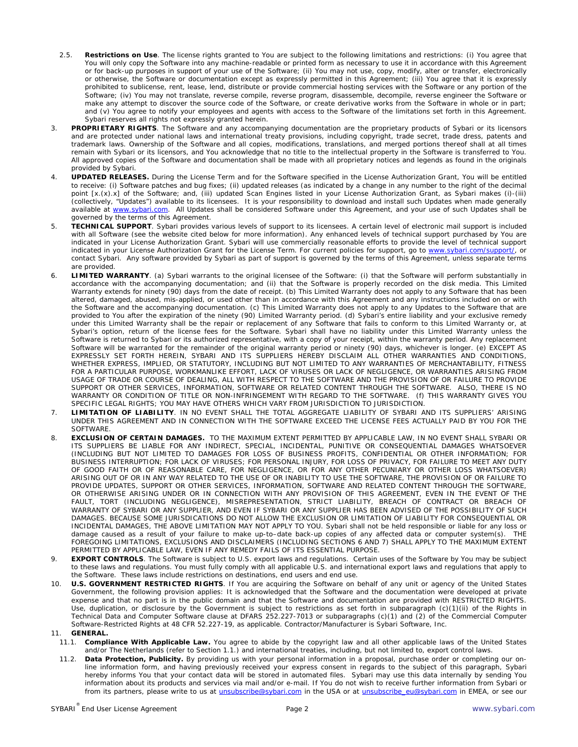- 2.5. **Restrictions on Use**. The license rights granted to You are subject to the following limitations and restrictions: (i) You agree that You will only copy the Software into any machine-readable or printed form as necessary to use it in accordance with this Agreement or for back-up purposes in support of your use of the Software; (ii) You may not use, copy, modify, alter or transfer, electronically or otherwise, the Software or documentation except as expressly permitted in this Agreement; (iii) You agree that it is expressly prohibited to sublicense, rent, lease, lend, distribute or provide commercial hosting services with the Software or any portion of the Software; (iv) You may not translate, reverse compile, reverse program, disassemble, decompile, reverse engineer the Software or make any attempt to discover the source code of the Software, or create derivative works from the Software in whole or in part; and (v) You agree to notify your employees and agents with access to the Software of the limitations set forth in this Agreement. Sybari reserves all rights not expressly granted herein.
- 3. **PROPRIETARY RIGHTS**. The Software and any accompanying documentation are the proprietary products of Sybari or its licensors and are protected under national laws and international treaty provisions, including copyright, trade secret, trade dress, patents and trademark laws. Ownership of the Software and all copies, modifications, translations, and merged portions thereof shall at all times remain with Sybari or its licensors, and You acknowledge that no title to the intellectual property in the Software is transferred to You. All approved copies of the Software and documentation shall be made with all proprietary notices and legends as found in the originals provided by Sybari.
- 4. **UPDATED RELEASES.** During the License Term and for the Software specified in the License Authorization Grant, You will be entitled to receive: (i) Software patches and bug fixes; (ii) updated releases (as indicated by a change in any number to the right of the decimal point [x.(x).x] of the Software; and, (iii) updated Scan Engines listed in your License Authorization Grant, as Sybari makes (i)-(iii) (collectively, "Updates") available to its licensees. It is your responsibility to download and install such Updates when made generally available at [www.sybari.com.](http://www.sybari.com/) All Updates shall be considered Software under this Agreement, and your use of such Updates shall be governed by the terms of this Agreement.
- 5. **TECHNICAL SUPPORT**. Sybari provides various levels of support to its licensees. A certain level of electronic mail support is included with all Software (see the website cited below for more information). Any enhanced levels of technical support purchased by You are indicated in your License Authorization Grant. Sybari will use commercially reasonable efforts to provide the level of technical support indicated in your License Authorization Grant for the License Term. For current policies for support, go to [www.sybari.com/support/](http://www.sybari.com/support/), or contact Sybari. Any software provided by Sybari as part of support is governed by the terms of this Agreement, unless separate terms are provided.
- 6. **LIMITED WARRANTY**. (a) Sybari warrants to the original licensee of the Software: (i) that the Software will perform substantially in accordance with the accompanying documentation; and (ii) that the Software is properly recorded on the disk media. This Limited Warranty extends for ninety (90) days from the date of receipt. (b) This Limited Warranty does not apply to any Software that has been altered, damaged, abused, mis-applied, or used other than in accordance with this Agreement and any instructions included on or with the Software and the accompanying documentation. (c) This Limited Warranty does not apply to any Updates to the Software that are provided to You after the expiration of the ninety (90) Limited Warranty period. (d) Sybari's entire liability and your exclusive remedy under this Limited Warranty shall be the repair or replacement of any Software that fails to conform to this Limited Warranty or, at Sybari's option, return of the license fees for the Software. Sybari shall have no liability under this Limited Warranty unless the Software is returned to Sybari or its authorized representative, with a copy of your receipt, within the warranty period. Any replacement Software will be warranted for the remainder of the original warranty period or ninety (90) days, whichever is longer. (e) EXCEPT AS EXPRESSLY SET FORTH HEREIN, SYBARI AND ITS SUPPLIERS HEREBY DISCLAIM ALL OTHER WARRANTIES AND CONDITIONS, WHETHER EXPRESS, IMPLIED, OR STATUTORY, INCLUDING BUT NOT LIMITED TO ANY WARRANTIES OF MERCHANTABILITY, FITNESS FOR A PARTICULAR PURPOSE, WORKMANLIKE EFFORT, LACK OF VIRUSES OR LACK OF NEGLIGENCE, OR WARRANTIES ARISING FROM USAGE OF TRADE OR COURSE OF DEALING, ALL WITH RESPECT TO THE SOFTWARE AND THE PROVISION OF OR FAILURE TO PROVIDE SUPPORT OR OTHER SERVICES, INFORMATION, SOFTWARE OR RELATED CONTENT THROUGH THE SOFTWARE. ALSO, THERE IS NO WARRANTY OR CONDITION OF TITLE OR NON-INFRINGEMENT WITH REGARD TO THE SOFTWARE. (f) THIS WARRANTY GIVES YOU SPECIFIC LEGAL RIGHTS; YOU MAY HAVE OTHERS WHICH VARY FROM JURISDICTION TO JURISDICTION.
- 7. **LIMITATION OF LIABILITY**. IN NO EVENT SHALL THE TOTAL AGGREGATE LIABILITY OF SYBARI AND ITS SUPPLIERS' ARISING UNDER THIS AGREEMENT AND IN CONNECTION WITH THE SOFTWARE EXCEED THE LICENSE FEES ACTUALLY PAID BY YOU FOR THE **SOFTWARE**
- 8. **EXCLUSION OF CERTAIN DAMAGES.** TO THE MAXIMUM EXTENT PERMITTED BY APPLICABLE LAW, IN NO EVENT SHALL SYBARI OR ITS SUPPLIERS BE LIABLE FOR ANY INDIRECT, SPECIAL, INCIDENTAL, PUNITIVE OR CONSEQUENTIAL DAMAGES WHATSOEVER (INCLUDING BUT NOT LIMITED TO DAMAGES FOR LOSS OF BUSINESS PROFITS, CONFIDENTIAL OR OTHER INFORMATION; FOR BUSINESS INTERRUPTION; FOR LACK OF VIRUSES; FOR PERSONAL INJURY, FOR LOSS OF PRIVACY, FOR FAILURE TO MEET ANY DUTY OF GOOD FAITH OR OF REASONABLE CARE, FOR NEGLIGENCE, OR FOR ANY OTHER PECUNIARY OR OTHER LOSS WHATSOEVER) ARISING OUT OF OR IN ANY WAY RELATED TO THE USE OF OR INABILITY TO USE THE SOFTWARE, THE PROVISION OF OR FAILURE TO PROVIDE UPDATES, SUPPORT OR OTHER SERVICES, INFORMATION, SOFTWARE AND RELATED CONTENT THROUGH THE SOFTWARE, OR OTHERWISE ARISING UNDER OR IN CONNECTION WITH ANY PROVISION OF THIS AGREEMENT, EVEN IN THE EVENT OF THE FAULT, TORT (INCLUDING NEGLIGENCE), MISREPRESENTATION, STRICT LIABILITY, BREACH OF CONTRACT OR BREACH OF WARRANTY OF SYBARI OR ANY SUPPLIER, AND EVEN IF SYBARI OR ANY SUPPLIER HAS BEEN ADVISED OF THE POSSIBILITY OF SUCH DAMAGES. BECAUSE SOME JURISDICATIONS DO NOT ALLOW THE EXCLUSION OR LIMITATION OF LIABILITY FOR CONSEQUENTIAL OR INCIDENTAL DAMAGES, THE ABOVE LIMITATION MAY NOT APPLY TO YOU. Sybari shall not be held responsible or liable for any loss or damage caused as a result of your failure to make up-to–date back-up copies of any affected data or computer system(s). THE FOREGOING LIMITATIONS, EXCLUSIONS AND DISCLAIMERS (INCLUDING SECTIONS 6 AND 7) SHALL APPLY TO THE MAXIMUM EXTENT PERMITTED BY APPLICABLE LAW, EVEN IF ANY REMEDY FAILS OF ITS ESSENTIAL PURPOSE.
- 9. **EXPORT CONTROLS**. The Software is subject to U.S. export laws and regulations. Certain uses of the Software by You may be subject to these laws and regulations. You must fully comply with all applicable U.S. and international export laws and regulations that apply to the Software. These laws include restrictions on destinations, end users and end use.
- 10. **U.S. GOVERNMENT RESTRICTED RIGHTS**. If You are acquiring the Software on behalf of any unit or agency of the United States Government, the following provision applies: It is acknowledged that the Software and the documentation were developed at private expense and that no part is in the public domain and that the Software and documentation are provided with RESTRICTED RIGHTS. Use, duplication, or disclosure by the Government is subject to restrictions as set forth in subparagraph (c)(1)(ii) of the Rights in Technical Data and Computer Software clause at DFARS 252.227-7013 or subparagraphs (c)(1) and (2) of the Commercial Computer Software-Restricted Rights at 48 CFR 52.227-19, as applicable. Contractor/Manufacturer is Sybari Software, Inc.

## 11. **GENERAL.**

- 11.1. **Compliance With Applicable Law.** You agree to abide by the copyright law and all other applicable laws of the United States and/or The Netherlands (refer to Section 1.1.) and international treaties, including, but not limited to, export control laws.
- 11.2. **Data Protection, Publicity.** By providing us with your personal information in a proposal, purchase order or completing our online information form, and having previously received your express consent in regards to the subject of this paragraph, Sybari hereby informs You that your contact data will be stored in automated files. Sybari may use this data internally by sending You information about its products and services via mail and/or e-mail. If You do not wish to receive further information from Sybari or from its partners, please write to us at *unsubscribe@sybari.com* in the USA or at *[unsubscribe\\_eu@sybari.com](mailto:unsubscribe_eu@sybari.com)* in EMEA, or see our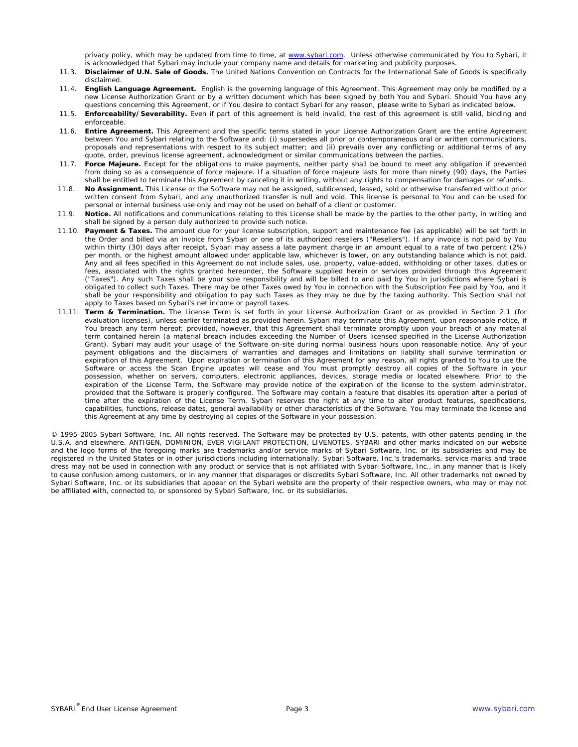privacy policy, which may be updated from time to time, at [www.sybari.com.](http://www.sybari.com/) Unless otherwise communicated by You to Sybari, it is acknowledged that Sybari may include your company name and details for marketing and publicity purposes.

- 11.3. **Disclaimer of U.N. Sale of Goods.** The United Nations Convention on Contracts for the International Sale of Goods is specifically disclaimed.
- 11.4. **English Language Agreement.** English is the governing language of this Agreement. This Agreement may only be modified by a new License Authorization Grant or by a written document which has been signed by both You and Sybari. Should You have any questions concerning this Agreement, or if You desire to contact Sybari for any reason, please write to Sybari as indicated below.
- 11.5. **Enforceability/Severability.** Even if part of this agreement is held invalid, the rest of this agreement is still valid, binding and enforceable.
- 11.6. **Entire Agreement.** This Agreement and the specific terms stated in your License Authorization Grant are the entire Agreement between You and Sybari relating to the Software and: (i) supersedes all prior or contemporaneous oral or written communications, proposals and representations with respect to its subject matter; and (ii) prevails over any conflicting or additional terms of any quote, order, previous license agreement, acknowledgment or similar communications between the parties.
- 11.7. **Force Majeure.** Except for the obligations to make payments, neither party shall be bound to meet any obligation if prevented from doing so as a consequence of force majeure. If a situation of force majeure lasts for more than ninety (90) days, the Parties shall be entitled to terminate this Agreement by canceling it in writing, without any rights to compensation for damages or refunds.
- 11.8. **No Assignment.** This License or the Software may not be assigned, sublicensed, leased, sold or otherwise transferred without prior written consent from Sybari, and any unauthorized transfer is null and void. This license is personal to You and can be used for personal or internal business use only and may not be used on behalf of a client or customer.
- 11.9. **Notice.** All notifications and communications relating to this License shall be made by the parties to the other party, in writing and shall be signed by a person duly authorized to provide such notice.
- 11.10. **Payment & Taxes.** The amount due for your license subscription, support and maintenance fee (as applicable) will be set forth in the Order and billed via an invoice from Sybari or one of its authorized resellers ("Resellers"). If any invoice is not paid by You within thirty (30) days after receipt, Sybari may assess a late payment charge in an amount equal to a rate of two percent (2%) per month, or the highest amount allowed under applicable law, whichever is lower, on any outstanding balance which is not paid. Any and all fees specified in this Agreement do not include sales, use, property, value-added, withholding or other taxes, duties or fees, associated with the rights granted hereunder, the Software supplied herein or services provided through this Agreement ("Taxes"). Any such Taxes shall be your sole responsibility and will be billed to and paid by You in jurisdictions where Sybari is obligated to collect such Taxes. There may be other Taxes owed by You in connection with the Subscription Fee paid by You, and it shall be your responsibility and obligation to pay such Taxes as they may be due by the taxing authority. This Section shall not apply to Taxes based on Sybari's net income or payroll taxes.
- 11.11. **Term & Termination.** The License Term is set forth in your License Authorization Grant or as provided in Section 2.1 (for evaluation licenses), unless earlier terminated as provided herein. Sybari may terminate this Agreement, upon reasonable notice, if You breach any term hereof; provided, however, that this Agreement shall terminate promptly upon your breach of any material term contained herein (a material breach includes exceeding the Number of Users licensed specified in the License Authorization Grant). Sybari may audit your usage of the Software on-site during normal business hours upon reasonable notice. Any of your payment obligations and the disclaimers of warranties and damages and limitations on liability shall survive termination or expiration of this Agreement. Upon expiration or termination of this Agreement for any reason, all rights granted to You to use the Software or access the Scan Engine updates will cease and You must promptly destroy all copies of the Software in your possession, whether on servers, computers, electronic appliances, devices, storage media or located elsewhere. Prior to the expiration of the License Term, the Software may provide notice of the expiration of the license to the system administrator, provided that the Software is properly configured. The Software may contain a feature that disables its operation after a period of time after the expiration of the License Term. Sybari reserves the right at any time to alter product features, specifications, capabilities, functions, release dates, general availability or other characteristics of the Software. You may terminate the license and this Agreement at any time by destroying all copies of the Software in your possession.

© 1995-2005 Sybari Software, Inc. All rights reserved. The Software may be protected by U.S. patents, with other patents pending in the U.S.A. and elsewhere. ANTIGEN, DOMINION, EVER VIGILANT PROTECTION, LIVENOTES, SYBARI and other marks indicated on our website and the logo forms of the foregoing marks are trademarks and/or service marks of Sybari Software, Inc. or its subsidiaries and may be registered in the United States or in other jurisdictions including internationally. Sybari Software, Inc.'s trademarks, service marks and trade dress may not be used in connection with any product or service that is not affiliated with Sybari Software, Inc., in any manner that is likely to cause confusion among customers, or in any manner that disparages or discredits Sybari Software, Inc. All other trademarks not owned by Sybari Software, Inc. or its subsidiaries that appear on the Sybari website are the property of their respective owners, who may or may not be affiliated with, connected to, or sponsored by Sybari Software, Inc. or its subsidiaries.